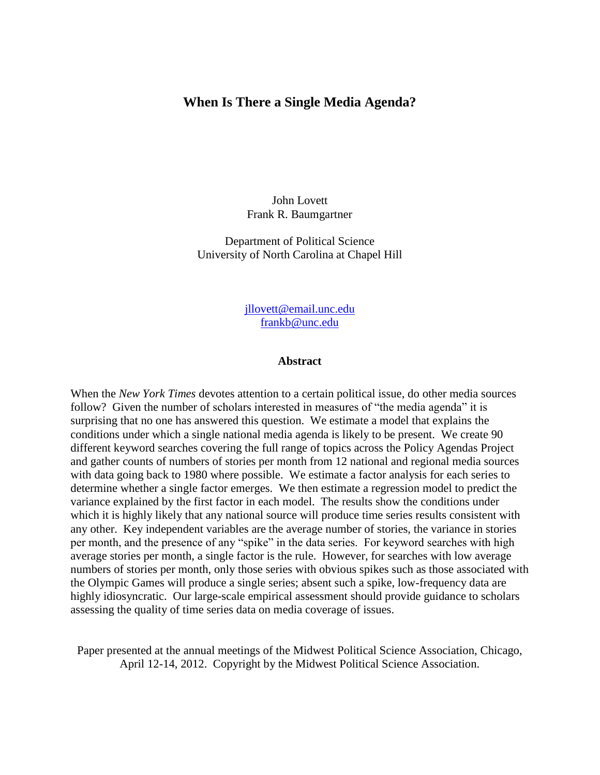## **When Is There a Single Media Agenda?**

John Lovett Frank R. Baumgartner

Department of Political Science University of North Carolina at Chapel Hill

> [jllovett@email.unc.edu](mailto:jllovett@email.unc.edu) [frankb@unc.edu](mailto:frankb@unc.edu)

#### **Abstract**

When the *New York Times* devotes attention to a certain political issue, do other media sources follow? Given the number of scholars interested in measures of "the media agenda" it is surprising that no one has answered this question. We estimate a model that explains the conditions under which a single national media agenda is likely to be present. We create 90 different keyword searches covering the full range of topics across the Policy Agendas Project and gather counts of numbers of stories per month from 12 national and regional media sources with data going back to 1980 where possible. We estimate a factor analysis for each series to determine whether a single factor emerges. We then estimate a regression model to predict the variance explained by the first factor in each model. The results show the conditions under which it is highly likely that any national source will produce time series results consistent with any other. Key independent variables are the average number of stories, the variance in stories per month, and the presence of any "spike" in the data series. For keyword searches with high average stories per month, a single factor is the rule. However, for searches with low average numbers of stories per month, only those series with obvious spikes such as those associated with the Olympic Games will produce a single series; absent such a spike, low-frequency data are highly idiosyncratic. Our large-scale empirical assessment should provide guidance to scholars assessing the quality of time series data on media coverage of issues.

Paper presented at the annual meetings of the Midwest Political Science Association, Chicago, April 12-14, 2012. Copyright by the Midwest Political Science Association.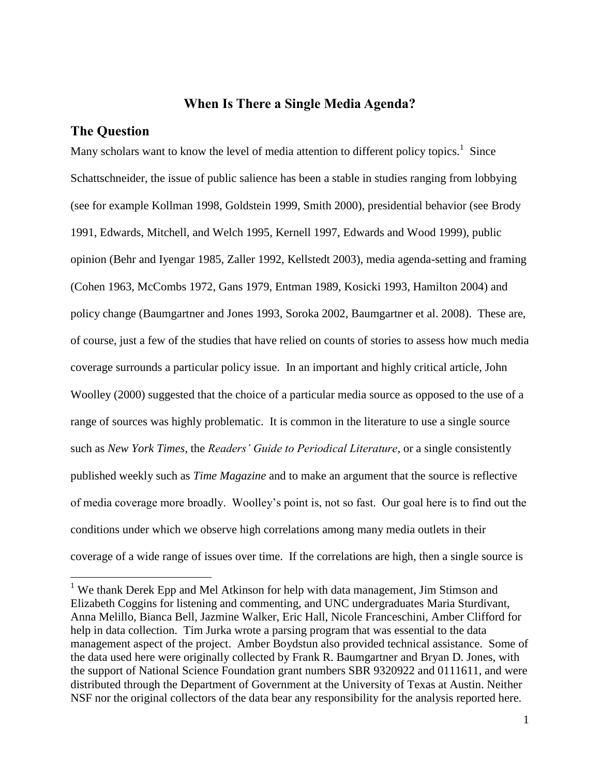## **When Is There a Single Media Agenda?**

## **The Question**

 $\overline{a}$ 

Many scholars want to know the level of media attention to different policy topics.<sup>1</sup> Since Schattschneider, the issue of public salience has been a stable in studies ranging from lobbying (see for example Kollman 1998, Goldstein 1999, Smith 2000), presidential behavior (see Brody 1991, Edwards, Mitchell, and Welch 1995, Kernell 1997, Edwards and Wood 1999), public opinion (Behr and Iyengar 1985, Zaller 1992, Kellstedt 2003), media agenda-setting and framing (Cohen 1963, McCombs 1972, Gans 1979, Entman 1989, Kosicki 1993, Hamilton 2004) and policy change (Baumgartner and Jones 1993, Soroka 2002, Baumgartner et al. 2008). These are, of course, just a few of the studies that have relied on counts of stories to assess how much media coverage surrounds a particular policy issue. In an important and highly critical article, John Woolley (2000) suggested that the choice of a particular media source as opposed to the use of a range of sources was highly problematic. It is common in the literature to use a single source such as *New York Times*, the *Readers' Guide to Periodical Literature*, or a single consistently published weekly such as *Time Magazine* and to make an argument that the source is reflective of media coverage more broadly. Woolley's point is, not so fast. Our goal here is to find out the conditions under which we observe high correlations among many media outlets in their coverage of a wide range of issues over time. If the correlations are high, then a single source is

<sup>&</sup>lt;sup>1</sup> We thank Derek Epp and Mel Atkinson for help with data management, Jim Stimson and Elizabeth Coggins for listening and commenting, and UNC undergraduates Maria Sturdivant, Anna Melillo, Bianca Bell, Jazmine Walker, Eric Hall, Nicole Franceschini, Amber Clifford for help in data collection. Tim Jurka wrote a parsing program that was essential to the data management aspect of the project. Amber Boydstun also provided technical assistance. Some of the data used here were originally collected by Frank R. Baumgartner and Bryan D. Jones, with the support of National Science Foundation grant numbers SBR 9320922 and 0111611, and were distributed through the Department of Government at the University of Texas at Austin. Neither NSF nor the original collectors of the data bear any responsibility for the analysis reported here.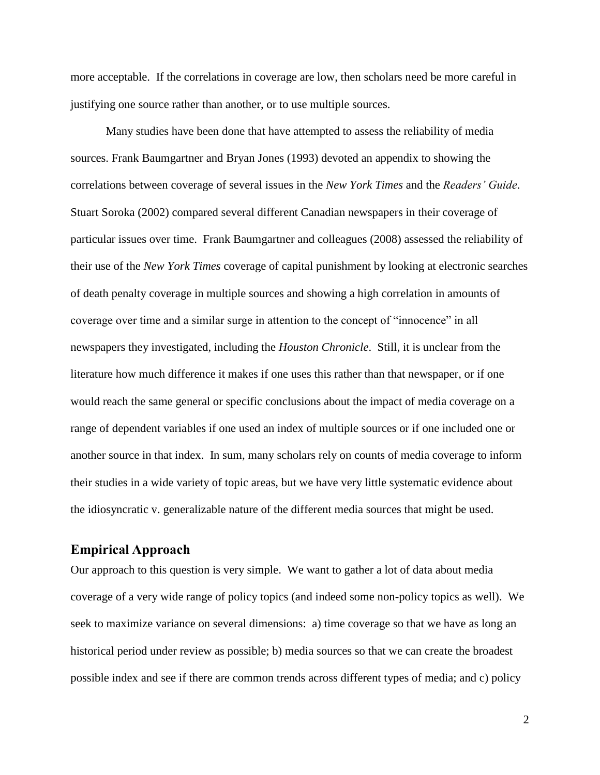more acceptable. If the correlations in coverage are low, then scholars need be more careful in justifying one source rather than another, or to use multiple sources.

Many studies have been done that have attempted to assess the reliability of media sources. Frank Baumgartner and Bryan Jones (1993) devoted an appendix to showing the correlations between coverage of several issues in the *New York Times* and the *Readers' Guide*. Stuart Soroka (2002) compared several different Canadian newspapers in their coverage of particular issues over time. Frank Baumgartner and colleagues (2008) assessed the reliability of their use of the *New York Times* coverage of capital punishment by looking at electronic searches of death penalty coverage in multiple sources and showing a high correlation in amounts of coverage over time and a similar surge in attention to the concept of "innocence" in all newspapers they investigated, including the *Houston Chronicle*. Still, it is unclear from the literature how much difference it makes if one uses this rather than that newspaper, or if one would reach the same general or specific conclusions about the impact of media coverage on a range of dependent variables if one used an index of multiple sources or if one included one or another source in that index. In sum, many scholars rely on counts of media coverage to inform their studies in a wide variety of topic areas, but we have very little systematic evidence about the idiosyncratic v. generalizable nature of the different media sources that might be used.

## **Empirical Approach**

Our approach to this question is very simple. We want to gather a lot of data about media coverage of a very wide range of policy topics (and indeed some non-policy topics as well). We seek to maximize variance on several dimensions: a) time coverage so that we have as long an historical period under review as possible; b) media sources so that we can create the broadest possible index and see if there are common trends across different types of media; and c) policy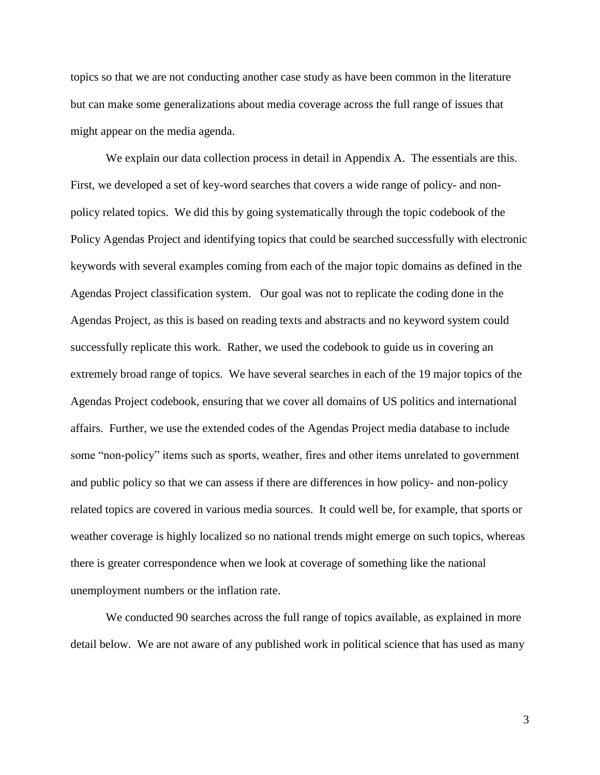topics so that we are not conducting another case study as have been common in the literature but can make some generalizations about media coverage across the full range of issues that might appear on the media agenda.

We explain our data collection process in detail in Appendix A. The essentials are this. First, we developed a set of key-word searches that covers a wide range of policy- and nonpolicy related topics. We did this by going systematically through the topic codebook of the Policy Agendas Project and identifying topics that could be searched successfully with electronic keywords with several examples coming from each of the major topic domains as defined in the Agendas Project classification system. Our goal was not to replicate the coding done in the Agendas Project, as this is based on reading texts and abstracts and no keyword system could successfully replicate this work. Rather, we used the codebook to guide us in covering an extremely broad range of topics. We have several searches in each of the 19 major topics of the Agendas Project codebook, ensuring that we cover all domains of US politics and international affairs. Further, we use the extended codes of the Agendas Project media database to include some "non-policy" items such as sports, weather, fires and other items unrelated to government and public policy so that we can assess if there are differences in how policy- and non-policy related topics are covered in various media sources. It could well be, for example, that sports or weather coverage is highly localized so no national trends might emerge on such topics, whereas there is greater correspondence when we look at coverage of something like the national unemployment numbers or the inflation rate.

We conducted 90 searches across the full range of topics available, as explained in more detail below. We are not aware of any published work in political science that has used as many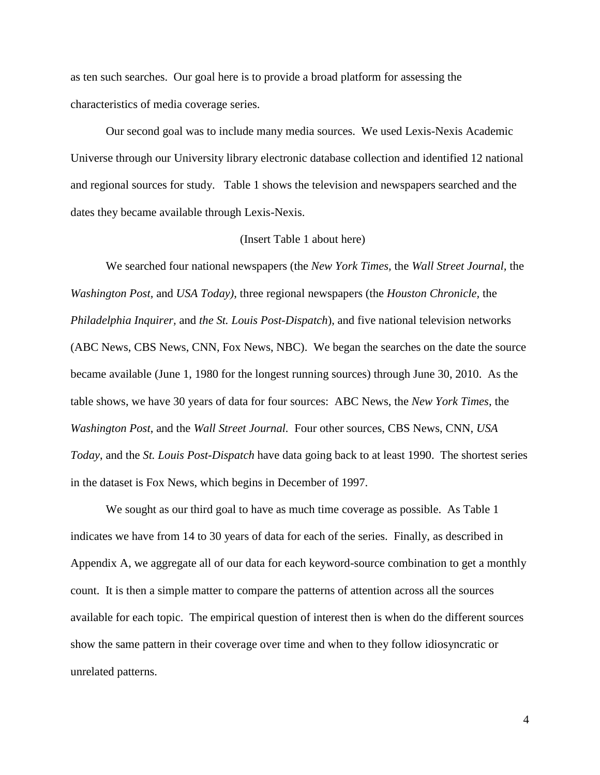as ten such searches. Our goal here is to provide a broad platform for assessing the characteristics of media coverage series.

Our second goal was to include many media sources. We used Lexis-Nexis Academic Universe through our University library electronic database collection and identified 12 national and regional sources for study. Table 1 shows the television and newspapers searched and the dates they became available through Lexis-Nexis.

#### (Insert Table 1 about here)

We searched four national newspapers (the *New York Times,* the *Wall Street Journal,* the *Washington Post,* and *USA Today)*, three regional newspapers (the *Houston Chronicle,* the *Philadelphia Inquirer,* and *the St. Louis Post-Dispatch*), and five national television networks (ABC News, CBS News, CNN, Fox News, NBC). We began the searches on the date the source became available (June 1, 1980 for the longest running sources) through June 30, 2010. As the table shows, we have 30 years of data for four sources: ABC News, the *New York Times*, the *Washington Post*, and the *Wall Street Journal.* Four other sources, CBS News, CNN, *USA Today*, and the *St. Louis Post-Dispatch* have data going back to at least 1990. The shortest series in the dataset is Fox News, which begins in December of 1997.

We sought as our third goal to have as much time coverage as possible. As Table 1 indicates we have from 14 to 30 years of data for each of the series. Finally, as described in Appendix A, we aggregate all of our data for each keyword-source combination to get a monthly count. It is then a simple matter to compare the patterns of attention across all the sources available for each topic. The empirical question of interest then is when do the different sources show the same pattern in their coverage over time and when to they follow idiosyncratic or unrelated patterns.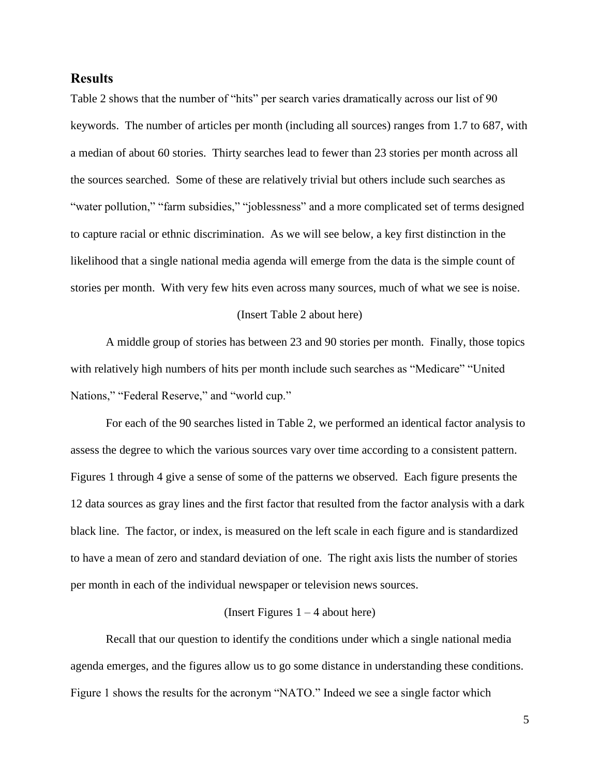## **Results**

Table 2 shows that the number of "hits" per search varies dramatically across our list of 90 keywords. The number of articles per month (including all sources) ranges from 1.7 to 687, with a median of about 60 stories. Thirty searches lead to fewer than 23 stories per month across all the sources searched. Some of these are relatively trivial but others include such searches as "water pollution," "farm subsidies," "joblessness" and a more complicated set of terms designed to capture racial or ethnic discrimination. As we will see below, a key first distinction in the likelihood that a single national media agenda will emerge from the data is the simple count of stories per month. With very few hits even across many sources, much of what we see is noise.

#### (Insert Table 2 about here)

A middle group of stories has between 23 and 90 stories per month. Finally, those topics with relatively high numbers of hits per month include such searches as "Medicare" "United Nations," "Federal Reserve," and "world cup."

For each of the 90 searches listed in Table 2, we performed an identical factor analysis to assess the degree to which the various sources vary over time according to a consistent pattern. Figures 1 through 4 give a sense of some of the patterns we observed. Each figure presents the 12 data sources as gray lines and the first factor that resulted from the factor analysis with a dark black line. The factor, or index, is measured on the left scale in each figure and is standardized to have a mean of zero and standard deviation of one. The right axis lists the number of stories per month in each of the individual newspaper or television news sources.

#### (Insert Figures  $1 - 4$  about here)

Recall that our question to identify the conditions under which a single national media agenda emerges, and the figures allow us to go some distance in understanding these conditions. Figure 1 shows the results for the acronym "NATO." Indeed we see a single factor which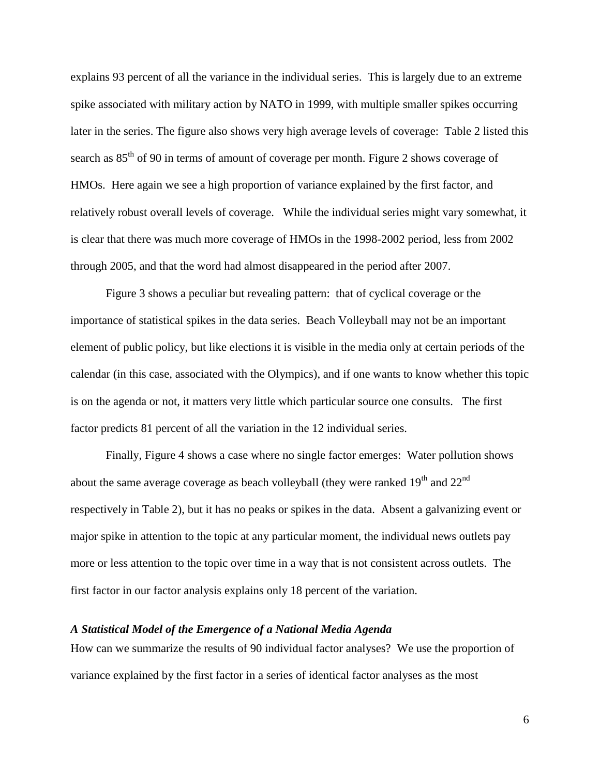explains 93 percent of all the variance in the individual series. This is largely due to an extreme spike associated with military action by NATO in 1999, with multiple smaller spikes occurring later in the series. The figure also shows very high average levels of coverage: Table 2 listed this search as  $85<sup>th</sup>$  of 90 in terms of amount of coverage per month. Figure 2 shows coverage of HMOs. Here again we see a high proportion of variance explained by the first factor, and relatively robust overall levels of coverage. While the individual series might vary somewhat, it is clear that there was much more coverage of HMOs in the 1998-2002 period, less from 2002 through 2005, and that the word had almost disappeared in the period after 2007.

Figure 3 shows a peculiar but revealing pattern: that of cyclical coverage or the importance of statistical spikes in the data series. Beach Volleyball may not be an important element of public policy, but like elections it is visible in the media only at certain periods of the calendar (in this case, associated with the Olympics), and if one wants to know whether this topic is on the agenda or not, it matters very little which particular source one consults. The first factor predicts 81 percent of all the variation in the 12 individual series.

Finally, Figure 4 shows a case where no single factor emerges: Water pollution shows about the same average coverage as beach volleyball (they were ranked  $19<sup>th</sup>$  and  $22<sup>nd</sup>$ ) respectively in Table 2), but it has no peaks or spikes in the data. Absent a galvanizing event or major spike in attention to the topic at any particular moment, the individual news outlets pay more or less attention to the topic over time in a way that is not consistent across outlets. The first factor in our factor analysis explains only 18 percent of the variation.

## *A Statistical Model of the Emergence of a National Media Agenda*

How can we summarize the results of 90 individual factor analyses? We use the proportion of variance explained by the first factor in a series of identical factor analyses as the most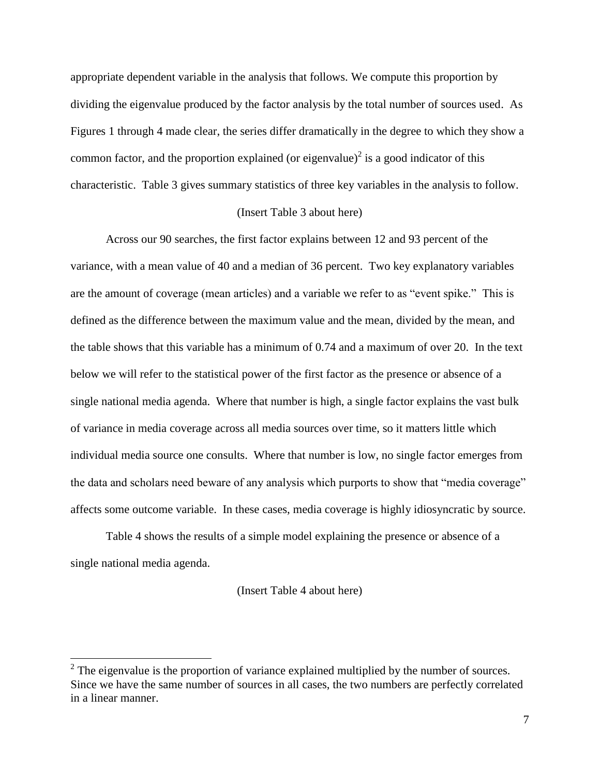appropriate dependent variable in the analysis that follows. We compute this proportion by dividing the eigenvalue produced by the factor analysis by the total number of sources used. As Figures 1 through 4 made clear, the series differ dramatically in the degree to which they show a common factor, and the proportion explained (or eigenvalue) $\delta$  is a good indicator of this characteristic. Table 3 gives summary statistics of three key variables in the analysis to follow.

## (Insert Table 3 about here)

Across our 90 searches, the first factor explains between 12 and 93 percent of the variance, with a mean value of 40 and a median of 36 percent. Two key explanatory variables are the amount of coverage (mean articles) and a variable we refer to as "event spike." This is defined as the difference between the maximum value and the mean, divided by the mean, and the table shows that this variable has a minimum of 0.74 and a maximum of over 20. In the text below we will refer to the statistical power of the first factor as the presence or absence of a single national media agenda. Where that number is high, a single factor explains the vast bulk of variance in media coverage across all media sources over time, so it matters little which individual media source one consults. Where that number is low, no single factor emerges from the data and scholars need beware of any analysis which purports to show that "media coverage" affects some outcome variable. In these cases, media coverage is highly idiosyncratic by source.

Table 4 shows the results of a simple model explaining the presence or absence of a single national media agenda.

(Insert Table 4 about here)

 $\overline{a}$ 

 $2^2$  The eigenvalue is the proportion of variance explained multiplied by the number of sources. Since we have the same number of sources in all cases, the two numbers are perfectly correlated in a linear manner.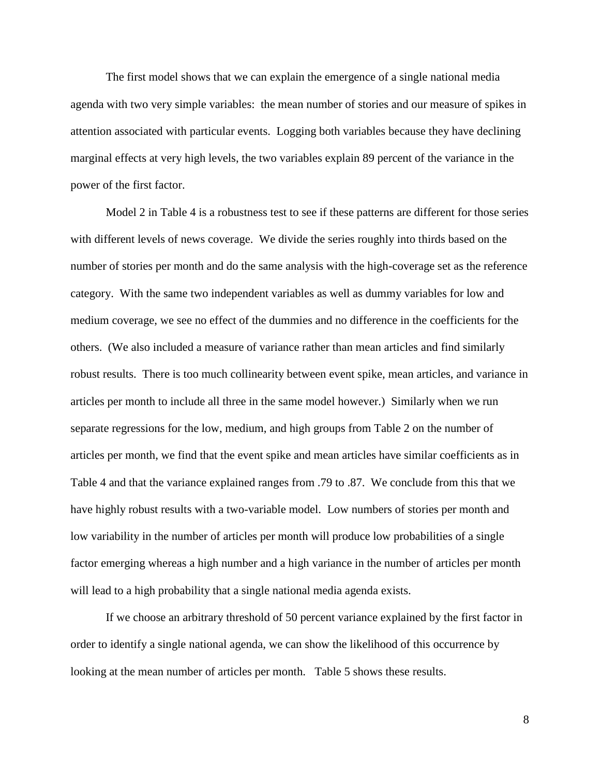The first model shows that we can explain the emergence of a single national media agenda with two very simple variables: the mean number of stories and our measure of spikes in attention associated with particular events. Logging both variables because they have declining marginal effects at very high levels, the two variables explain 89 percent of the variance in the power of the first factor.

Model 2 in Table 4 is a robustness test to see if these patterns are different for those series with different levels of news coverage. We divide the series roughly into thirds based on the number of stories per month and do the same analysis with the high-coverage set as the reference category. With the same two independent variables as well as dummy variables for low and medium coverage, we see no effect of the dummies and no difference in the coefficients for the others. (We also included a measure of variance rather than mean articles and find similarly robust results. There is too much collinearity between event spike, mean articles, and variance in articles per month to include all three in the same model however.) Similarly when we run separate regressions for the low, medium, and high groups from Table 2 on the number of articles per month, we find that the event spike and mean articles have similar coefficients as in Table 4 and that the variance explained ranges from .79 to .87. We conclude from this that we have highly robust results with a two-variable model. Low numbers of stories per month and low variability in the number of articles per month will produce low probabilities of a single factor emerging whereas a high number and a high variance in the number of articles per month will lead to a high probability that a single national media agenda exists.

If we choose an arbitrary threshold of 50 percent variance explained by the first factor in order to identify a single national agenda, we can show the likelihood of this occurrence by looking at the mean number of articles per month. Table 5 shows these results.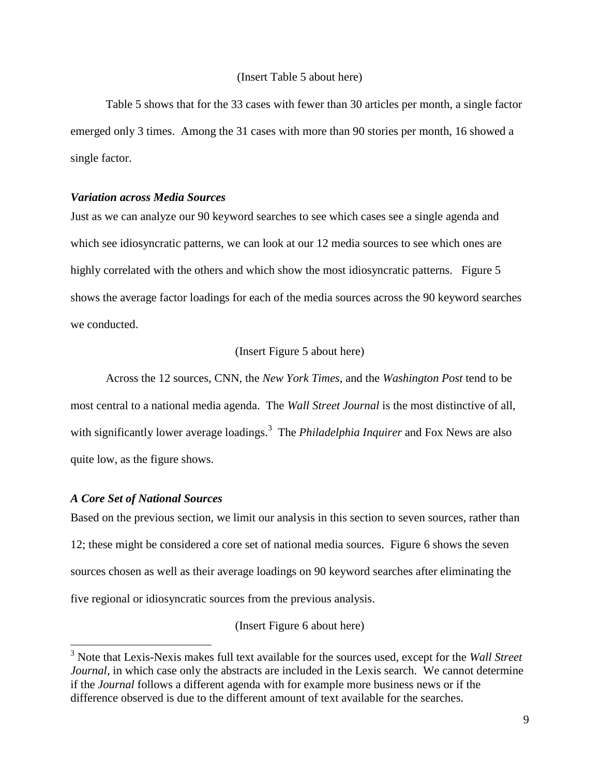#### (Insert Table 5 about here)

Table 5 shows that for the 33 cases with fewer than 30 articles per month, a single factor emerged only 3 times. Among the 31 cases with more than 90 stories per month, 16 showed a single factor.

#### *Variation across Media Sources*

Just as we can analyze our 90 keyword searches to see which cases see a single agenda and which see idiosyncratic patterns, we can look at our 12 media sources to see which ones are highly correlated with the others and which show the most idiosyncratic patterns. Figure 5 shows the average factor loadings for each of the media sources across the 90 keyword searches we conducted.

#### (Insert Figure 5 about here)

Across the 12 sources, CNN, the *New York Times*, and the *Washington Post* tend to be most central to a national media agenda. The *Wall Street Journal* is the most distinctive of all, with significantly lower average loadings.<sup>3</sup> The *Philadelphia Inquirer* and Fox News are also quite low, as the figure shows.

#### *A Core Set of National Sources*

 $\overline{a}$ 

Based on the previous section, we limit our analysis in this section to seven sources, rather than 12; these might be considered a core set of national media sources. Figure 6 shows the seven sources chosen as well as their average loadings on 90 keyword searches after eliminating the five regional or idiosyncratic sources from the previous analysis.

(Insert Figure 6 about here)

<sup>3</sup> Note that Lexis-Nexis makes full text available for the sources used, except for the *Wall Street Journal*, in which case only the abstracts are included in the Lexis search. We cannot determine if the *Journal* follows a different agenda with for example more business news or if the difference observed is due to the different amount of text available for the searches.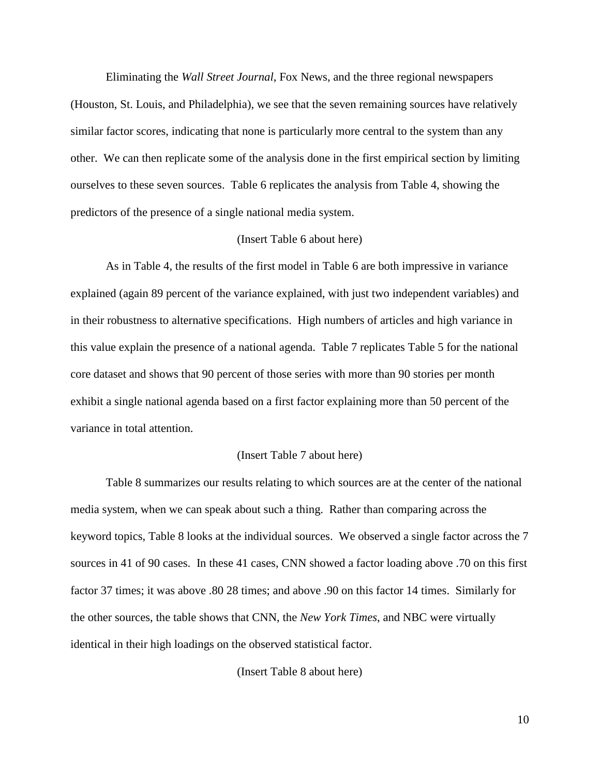Eliminating the *Wall Street Journal*, Fox News, and the three regional newspapers (Houston, St. Louis, and Philadelphia), we see that the seven remaining sources have relatively similar factor scores, indicating that none is particularly more central to the system than any other. We can then replicate some of the analysis done in the first empirical section by limiting ourselves to these seven sources. Table 6 replicates the analysis from Table 4, showing the predictors of the presence of a single national media system.

#### (Insert Table 6 about here)

As in Table 4, the results of the first model in Table 6 are both impressive in variance explained (again 89 percent of the variance explained, with just two independent variables) and in their robustness to alternative specifications. High numbers of articles and high variance in this value explain the presence of a national agenda. Table 7 replicates Table 5 for the national core dataset and shows that 90 percent of those series with more than 90 stories per month exhibit a single national agenda based on a first factor explaining more than 50 percent of the variance in total attention.

#### (Insert Table 7 about here)

Table 8 summarizes our results relating to which sources are at the center of the national media system, when we can speak about such a thing. Rather than comparing across the keyword topics, Table 8 looks at the individual sources. We observed a single factor across the 7 sources in 41 of 90 cases. In these 41 cases, CNN showed a factor loading above .70 on this first factor 37 times; it was above .80 28 times; and above .90 on this factor 14 times. Similarly for the other sources, the table shows that CNN, the *New York Times*, and NBC were virtually identical in their high loadings on the observed statistical factor.

(Insert Table 8 about here)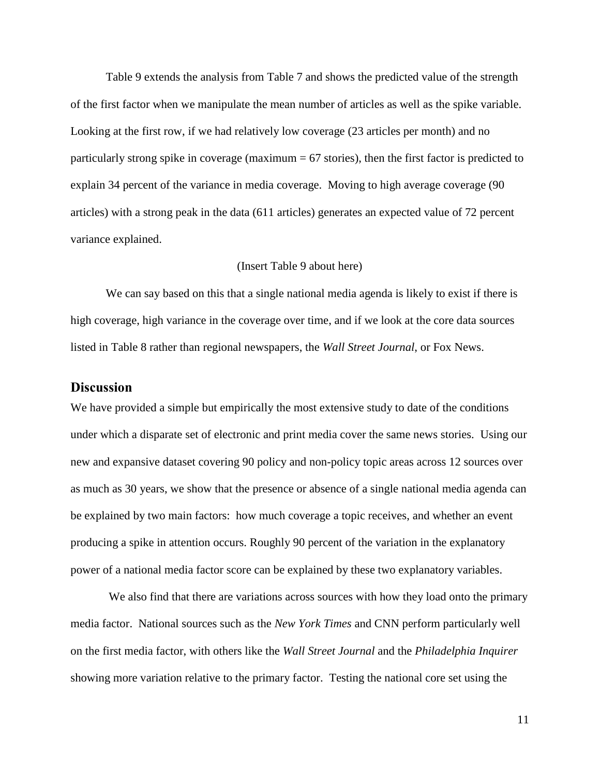Table 9 extends the analysis from Table 7 and shows the predicted value of the strength of the first factor when we manipulate the mean number of articles as well as the spike variable. Looking at the first row, if we had relatively low coverage (23 articles per month) and no particularly strong spike in coverage (maximum  $= 67$  stories), then the first factor is predicted to explain 34 percent of the variance in media coverage. Moving to high average coverage (90 articles) with a strong peak in the data (611 articles) generates an expected value of 72 percent variance explained.

#### (Insert Table 9 about here)

We can say based on this that a single national media agenda is likely to exist if there is high coverage, high variance in the coverage over time, and if we look at the core data sources listed in Table 8 rather than regional newspapers, the *Wall Street Journal*, or Fox News.

## **Discussion**

We have provided a simple but empirically the most extensive study to date of the conditions under which a disparate set of electronic and print media cover the same news stories. Using our new and expansive dataset covering 90 policy and non-policy topic areas across 12 sources over as much as 30 years, we show that the presence or absence of a single national media agenda can be explained by two main factors: how much coverage a topic receives, and whether an event producing a spike in attention occurs. Roughly 90 percent of the variation in the explanatory power of a national media factor score can be explained by these two explanatory variables.

We also find that there are variations across sources with how they load onto the primary media factor. National sources such as the *New York Times* and CNN perform particularly well on the first media factor, with others like the *Wall Street Journal* and the *Philadelphia Inquirer* showing more variation relative to the primary factor. Testing the national core set using the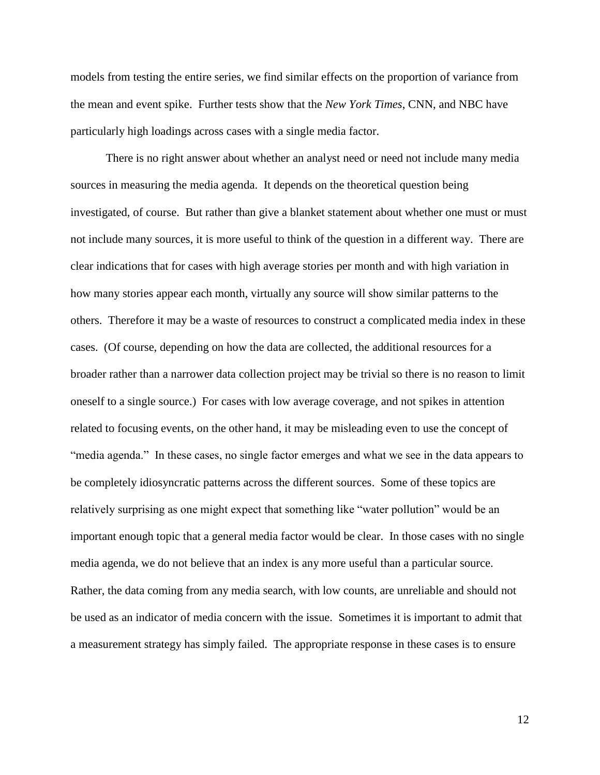models from testing the entire series, we find similar effects on the proportion of variance from the mean and event spike. Further tests show that the *New York Times*, CNN, and NBC have particularly high loadings across cases with a single media factor.

There is no right answer about whether an analyst need or need not include many media sources in measuring the media agenda. It depends on the theoretical question being investigated, of course. But rather than give a blanket statement about whether one must or must not include many sources, it is more useful to think of the question in a different way. There are clear indications that for cases with high average stories per month and with high variation in how many stories appear each month, virtually any source will show similar patterns to the others. Therefore it may be a waste of resources to construct a complicated media index in these cases. (Of course, depending on how the data are collected, the additional resources for a broader rather than a narrower data collection project may be trivial so there is no reason to limit oneself to a single source.) For cases with low average coverage, and not spikes in attention related to focusing events, on the other hand, it may be misleading even to use the concept of "media agenda." In these cases, no single factor emerges and what we see in the data appears to be completely idiosyncratic patterns across the different sources. Some of these topics are relatively surprising as one might expect that something like "water pollution" would be an important enough topic that a general media factor would be clear. In those cases with no single media agenda, we do not believe that an index is any more useful than a particular source. Rather, the data coming from any media search, with low counts, are unreliable and should not be used as an indicator of media concern with the issue. Sometimes it is important to admit that a measurement strategy has simply failed. The appropriate response in these cases is to ensure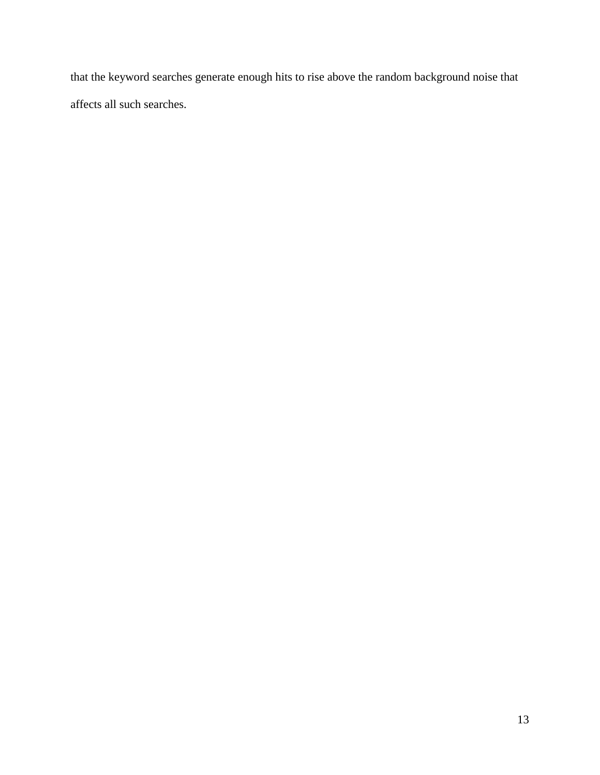that the keyword searches generate enough hits to rise above the random background noise that affects all such searches.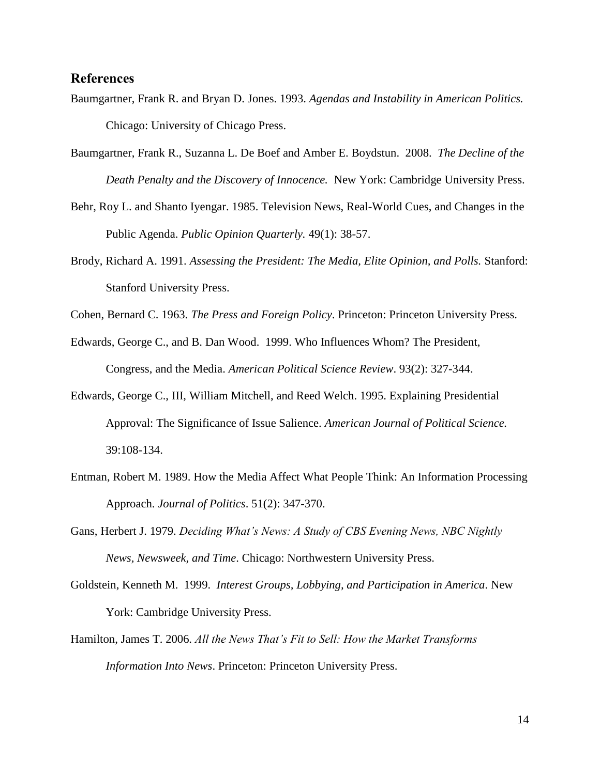## **References**

- Baumgartner, Frank R. and Bryan D. Jones. 1993. *Agendas and Instability in American Politics.* Chicago: University of Chicago Press.
- Baumgartner, Frank R., Suzanna L. De Boef and Amber E. Boydstun. 2008. *The Decline of the Death Penalty and the Discovery of Innocence.* New York: Cambridge University Press.
- Behr, Roy L. and Shanto Iyengar. 1985. Television News, Real-World Cues, and Changes in the Public Agenda. *Public Opinion Quarterly.* 49(1): 38-57.
- Brody, Richard A. 1991. *Assessing the President: The Media, Elite Opinion, and Polls.* Stanford: Stanford University Press.
- Cohen, Bernard C. 1963. *The Press and Foreign Policy*. Princeton: Princeton University Press.
- Edwards, George C., and B. Dan Wood. 1999. Who Influences Whom? The President, Congress, and the Media. *American Political Science Review*. 93(2): 327-344.
- Edwards, George C., III, William Mitchell, and Reed Welch. 1995. Explaining Presidential Approval: The Significance of Issue Salience. *American Journal of Political Science.* 39:108-134.
- Entman, Robert M. 1989. How the Media Affect What People Think: An Information Processing Approach. *Journal of Politics*. 51(2): 347-370.
- Gans, Herbert J. 1979. *Deciding What's News: A Study of CBS Evening News, NBC Nightly News, Newsweek, and Time*. Chicago: Northwestern University Press.
- Goldstein, Kenneth M. 1999. *Interest Groups, Lobbying, and Participation in America*. New York: Cambridge University Press.
- Hamilton, James T. 2006. *All the News That's Fit to Sell: How the Market Transforms Information Into News*. Princeton: Princeton University Press.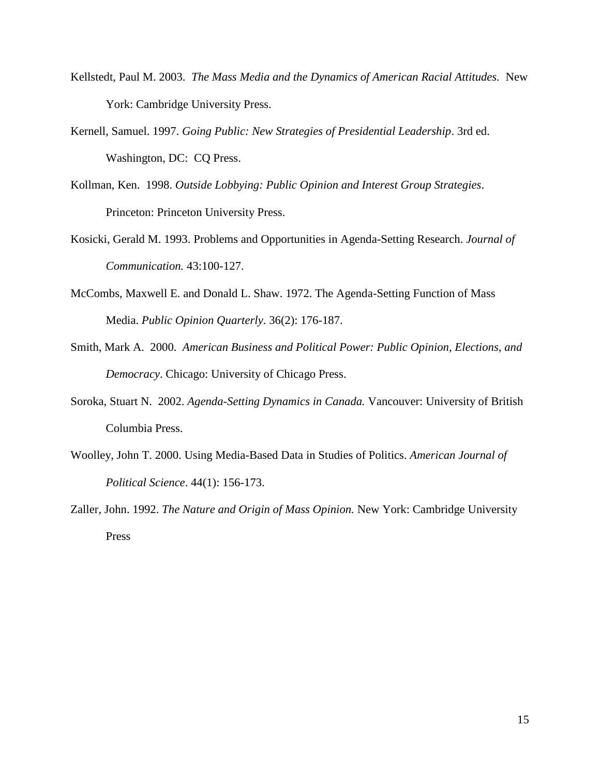- Kellstedt, Paul M. 2003. *The Mass Media and the Dynamics of American Racial Attitudes.* New York: Cambridge University Press.
- Kernell, Samuel. 1997. *Going Public: New Strategies of Presidential Leadership*. 3rd ed. Washington, DC: CQ Press.
- Kollman, Ken. 1998. *Outside Lobbying: Public Opinion and Interest Group Strategies*. Princeton: Princeton University Press.
- Kosicki, Gerald M. 1993. Problems and Opportunities in Agenda-Setting Research. *Journal of Communication.* 43:100-127.
- McCombs, Maxwell E. and Donald L. Shaw. 1972. The Agenda-Setting Function of Mass Media. *Public Opinion Quarterly*. 36(2): 176-187.
- Smith, Mark A. 2000. *American Business and Political Power: Public Opinion, Elections, and Democracy*. Chicago: University of Chicago Press.
- Soroka, Stuart N. 2002. *Agenda-Setting Dynamics in Canada.* Vancouver: University of British Columbia Press.
- Woolley, John T. 2000. Using Media-Based Data in Studies of Politics. *American Journal of Political Science*. 44(1): 156-173.
- Zaller, John. 1992. *The Nature and Origin of Mass Opinion.* New York: Cambridge University Press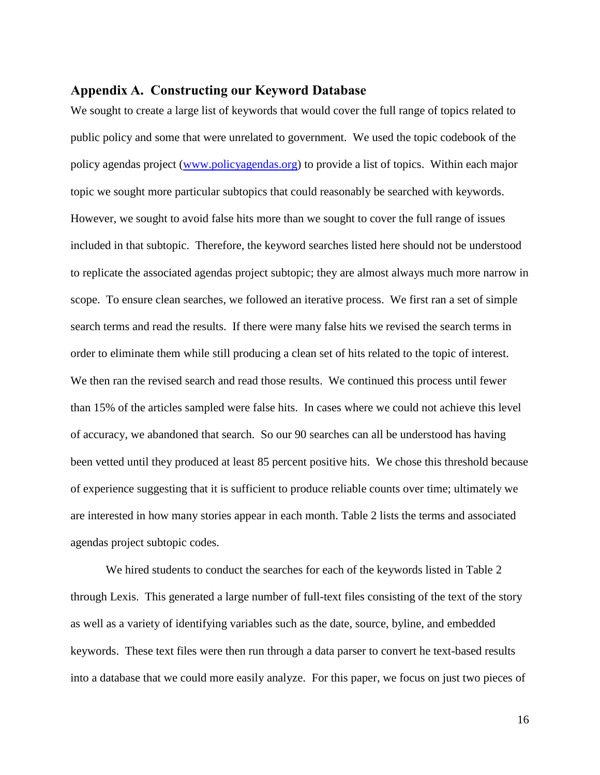## **Appendix A. Constructing our Keyword Database**

We sought to create a large list of keywords that would cover the full range of topics related to public policy and some that were unrelated to government. We used the topic codebook of the policy agendas project [\(www.policyagendas.org\)](http://www.policyagendas.org/) to provide a list of topics. Within each major topic we sought more particular subtopics that could reasonably be searched with keywords. However, we sought to avoid false hits more than we sought to cover the full range of issues included in that subtopic. Therefore, the keyword searches listed here should not be understood to replicate the associated agendas project subtopic; they are almost always much more narrow in scope. To ensure clean searches, we followed an iterative process. We first ran a set of simple search terms and read the results. If there were many false hits we revised the search terms in order to eliminate them while still producing a clean set of hits related to the topic of interest. We then ran the revised search and read those results. We continued this process until fewer than 15% of the articles sampled were false hits. In cases where we could not achieve this level of accuracy, we abandoned that search. So our 90 searches can all be understood has having been vetted until they produced at least 85 percent positive hits. We chose this threshold because of experience suggesting that it is sufficient to produce reliable counts over time; ultimately we are interested in how many stories appear in each month. Table 2 lists the terms and associated agendas project subtopic codes.

We hired students to conduct the searches for each of the keywords listed in Table 2 through Lexis. This generated a large number of full-text files consisting of the text of the story as well as a variety of identifying variables such as the date, source, byline, and embedded keywords. These text files were then run through a data parser to convert he text-based results into a database that we could more easily analyze. For this paper, we focus on just two pieces of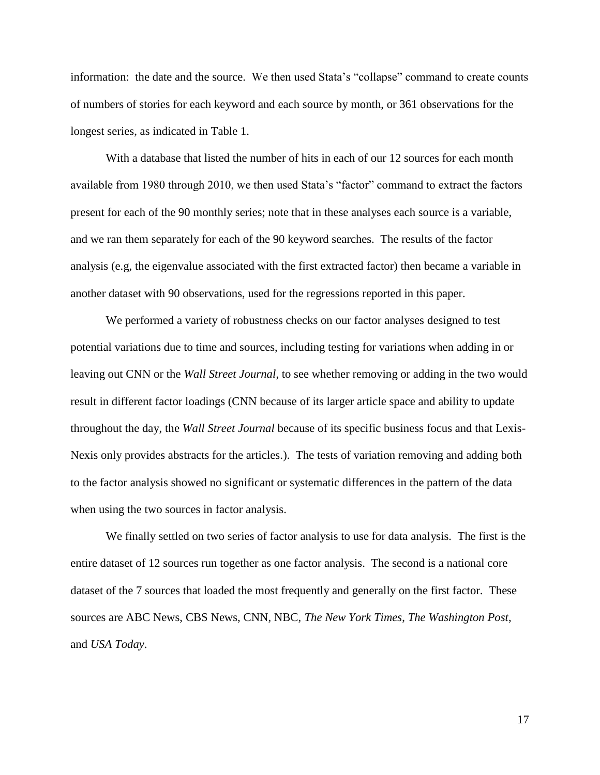information: the date and the source. We then used Stata's "collapse" command to create counts of numbers of stories for each keyword and each source by month, or 361 observations for the longest series, as indicated in Table 1.

With a database that listed the number of hits in each of our 12 sources for each month available from 1980 through 2010, we then used Stata's "factor" command to extract the factors present for each of the 90 monthly series; note that in these analyses each source is a variable, and we ran them separately for each of the 90 keyword searches. The results of the factor analysis (e.g, the eigenvalue associated with the first extracted factor) then became a variable in another dataset with 90 observations, used for the regressions reported in this paper.

We performed a variety of robustness checks on our factor analyses designed to test potential variations due to time and sources, including testing for variations when adding in or leaving out CNN or the *Wall Street Journal*, to see whether removing or adding in the two would result in different factor loadings (CNN because of its larger article space and ability to update throughout the day, the *Wall Street Journal* because of its specific business focus and that Lexis-Nexis only provides abstracts for the articles.). The tests of variation removing and adding both to the factor analysis showed no significant or systematic differences in the pattern of the data when using the two sources in factor analysis.

We finally settled on two series of factor analysis to use for data analysis. The first is the entire dataset of 12 sources run together as one factor analysis. The second is a national core dataset of the 7 sources that loaded the most frequently and generally on the first factor. These sources are ABC News, CBS News, CNN, NBC, *The New York Times*, *The Washington Post*, and *USA Today*.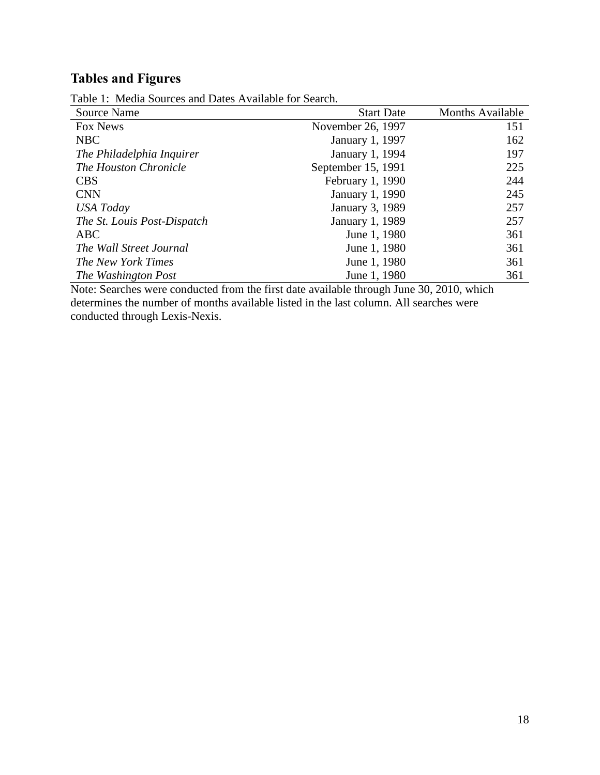# **Tables and Figures**

| Source Name                 | <b>Start Date</b>      | <b>Months Available</b> |
|-----------------------------|------------------------|-------------------------|
| Fox News                    | November 26, 1997      | 151                     |
| <b>NBC</b>                  | January 1, 1997        | 162                     |
| The Philadelphia Inquirer   | January 1, 1994        | 197                     |
| The Houston Chronicle       | September 15, 1991     | 225                     |
| <b>CBS</b>                  | February 1, 1990       | 244                     |
| <b>CNN</b>                  | <b>January 1, 1990</b> | 245                     |
| <b>USA</b> Today            | January 3, 1989        | 257                     |
| The St. Louis Post-Dispatch | January 1, 1989        | 257                     |
| ABC                         | June 1, 1980           | 361                     |
| The Wall Street Journal     | June 1, 1980           | 361                     |
| The New York Times          | June 1, 1980           | 361                     |
| The Washington Post         | June 1, 1980           | 361                     |

Table 1: Media Sources and Dates Available for Search.

Note: Searches were conducted from the first date available through June 30, 2010, which determines the number of months available listed in the last column. All searches were conducted through Lexis-Nexis.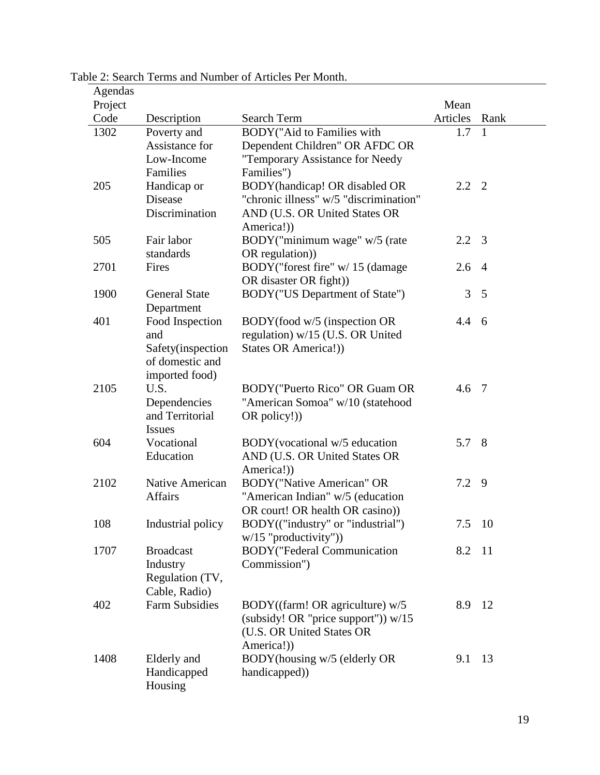| Agendas |                                   |                                                                       |               |                |
|---------|-----------------------------------|-----------------------------------------------------------------------|---------------|----------------|
| Project |                                   |                                                                       | Mean          |                |
| Code    | Description                       | Search Term                                                           | Articles      | Rank           |
| 1302    | Poverty and<br>Assistance for     | BODY("Aid to Families with<br>Dependent Children" OR AFDC OR          | 1.7           | $\mathbf{1}$   |
|         | Low-Income                        | "Temporary Assistance for Needy                                       |               |                |
|         | Families                          | Families")                                                            |               |                |
| 205     | Handicap or                       | BODY(handicap! OR disabled OR                                         | $2.2 \quad 2$ |                |
|         | Disease                           | "chronic illness" w/5 "discrimination"                                |               |                |
|         | Discrimination                    | AND (U.S. OR United States OR                                         |               |                |
|         |                                   | America!)                                                             |               |                |
| 505     | Fair labor                        | BODY("minimum wage" w/5 (rate                                         | 2.2           | 3              |
|         | standards                         | OR regulation))                                                       |               |                |
| 2701    | Fires                             | BODY("forest fire" w/ 15 (damage                                      | 2.6           | $\overline{4}$ |
|         |                                   | OR disaster OR fight))                                                |               |                |
| 1900    | <b>General State</b>              | BODY("US Department of State")                                        | 3             | 5              |
|         | Department                        |                                                                       |               |                |
| 401     | Food Inspection                   | BODY(food w/5 (inspection OR                                          | 4.4           | - 6            |
|         | and                               | regulation) w/15 (U.S. OR United                                      |               |                |
|         | Safety(inspection                 | States OR America!))                                                  |               |                |
|         | of domestic and                   |                                                                       |               |                |
|         | imported food)                    |                                                                       |               |                |
| 2105    | U.S.                              | BODY ("Puerto Rico" OR Guam OR                                        | 4.6 7         |                |
|         | Dependencies                      | "American Somoa" w/10 (statehood                                      |               |                |
|         | and Territorial                   | OR policy!)                                                           |               |                |
|         | <b>Issues</b>                     |                                                                       |               |                |
| 604     | Vocational                        | BODY (vocational w/5 education                                        | 5.7           | 8              |
|         | Education                         | AND (U.S. OR United States OR                                         |               |                |
|         |                                   | America!))                                                            |               |                |
| 2102    | Native American<br><b>Affairs</b> | <b>BODY</b> ("Native American" OR<br>"American Indian" w/5 (education | 7.2           | 9              |
|         |                                   | OR court! OR health OR casino))                                       |               |                |
| 108     | Industrial policy                 | BODY(("industry" or "industrial")                                     | 7.5 10        |                |
|         |                                   | $w/15$ "productivity")                                                |               |                |
| 1707    | <b>Broadcast</b>                  | <b>BODY</b> ("Federal Communication                                   | 8.2           | -11            |
|         | Industry                          | Commission")                                                          |               |                |
|         | Regulation (TV,                   |                                                                       |               |                |
|         | Cable, Radio)                     |                                                                       |               |                |
| 402     | <b>Farm Subsidies</b>             | BODY((farm! OR agriculture) w/5                                       | 8.9           | 12             |
|         |                                   | (subsidy! OR "price support")) $w/15$                                 |               |                |
|         |                                   | (U.S. OR United States OR                                             |               |                |
|         |                                   | America!))                                                            |               |                |
| 1408    | Elderly and                       | BODY(housing w/5 (elderly OR                                          | 9.1           | 13             |
|         | Handicapped                       | handicapped))                                                         |               |                |
|         | Housing                           |                                                                       |               |                |

Table 2: Search Terms and Number of Articles Per Month.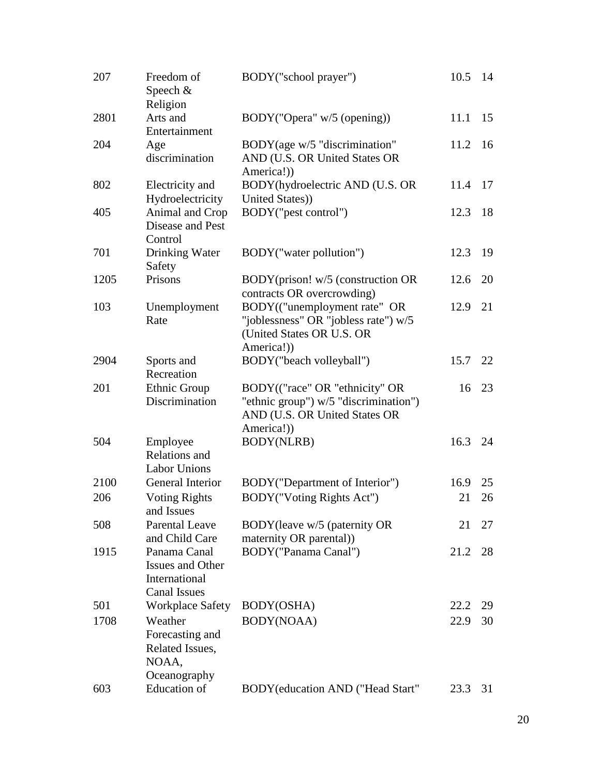| 207  | Freedom of<br>Speech &<br>Religion                                              | BODY("school prayer")                                                                                                  | 10.5 | 14 |
|------|---------------------------------------------------------------------------------|------------------------------------------------------------------------------------------------------------------------|------|----|
| 2801 | Arts and<br>Entertainment                                                       | BODY("Opera" w/5 (opening))                                                                                            | 11.1 | 15 |
| 204  | Age<br>discrimination                                                           | BODY(age w/5 "discrimination"<br>AND (U.S. OR United States OR<br>America!))                                           | 11.2 | 16 |
| 802  | Electricity and<br>Hydroelectricity                                             | BODY(hydroelectric AND (U.S. OR<br>United States))                                                                     | 11.4 | 17 |
| 405  | Animal and Crop<br>Disease and Pest<br>Control                                  | BODY("pest control")                                                                                                   | 12.3 | 18 |
| 701  | Drinking Water<br>Safety                                                        | BODY("water pollution")                                                                                                | 12.3 | 19 |
| 1205 | Prisons                                                                         | BODY(prison! w/5 (construction OR<br>contracts OR overcrowding)                                                        | 12.6 | 20 |
| 103  | Unemployment<br>Rate                                                            | BODY(("unemployment rate" OR<br>"joblessness" OR "jobless rate") w/5<br>(United States OR U.S. OR<br>America!))        | 12.9 | 21 |
| 2904 | Sports and<br>Recreation                                                        | BODY("beach volleyball")                                                                                               | 15.7 | 22 |
| 201  | <b>Ethnic Group</b><br>Discrimination                                           | BODY(("race" OR "ethnicity" OR<br>"ethnic group") w/5 "discrimination")<br>AND (U.S. OR United States OR<br>America!)) | 16   | 23 |
| 504  | Employee<br>Relations and<br><b>Labor Unions</b>                                | <b>BODY(NLRB)</b>                                                                                                      | 16.3 | 24 |
| 2100 | General Interior                                                                | BODY ("Department of Interior")                                                                                        | 16.9 | 25 |
| 206  | <b>Voting Rights</b><br>and Issues                                              | BODY("Voting Rights Act")                                                                                              | 21   | 26 |
| 508  | <b>Parental Leave</b><br>and Child Care                                         | BODY (leave w/5 (paternity OR<br>maternity OR parental)                                                                | 21   | 27 |
| 1915 | Panama Canal<br><b>Issues and Other</b><br>International<br><b>Canal Issues</b> | BODY("Panama Canal")                                                                                                   | 21.2 | 28 |
| 501  | <b>Workplace Safety</b>                                                         | BODY(OSHA)                                                                                                             | 22.2 | 29 |
| 1708 | Weather<br>Forecasting and<br>Related Issues,<br>NOAA,<br>Oceanography          | BODY(NOAA)                                                                                                             | 22.9 | 30 |
| 603  | Education of                                                                    | BODY (education AND ("Head Start"                                                                                      | 23.3 | 31 |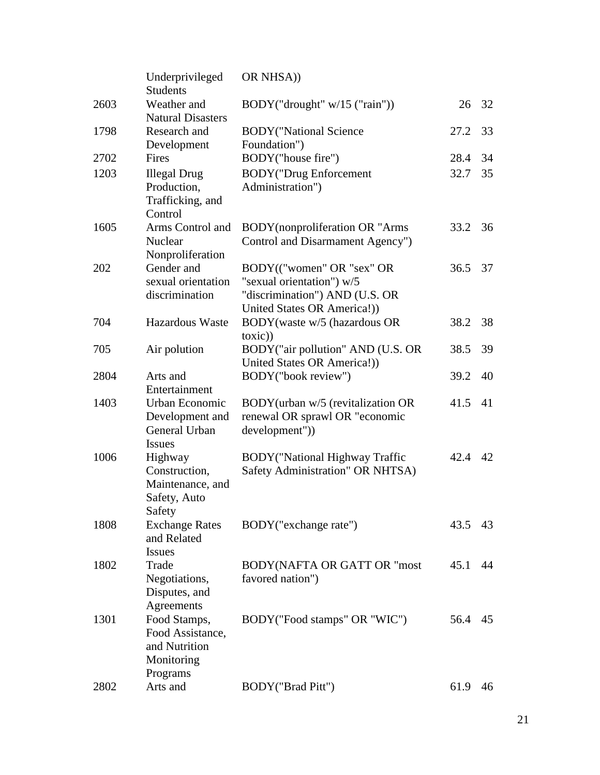|      | Underprivileged<br><b>Students</b>                                          | OR NHSA))                                                                                  |      |    |
|------|-----------------------------------------------------------------------------|--------------------------------------------------------------------------------------------|------|----|
| 2603 | Weather and<br><b>Natural Disasters</b>                                     | BODY("drought" $w/15$ ("rain"))                                                            | 26   | 32 |
| 1798 | Research and                                                                | <b>BODY</b> ("National Science                                                             | 27.2 | 33 |
|      | Development                                                                 | Foundation")                                                                               |      |    |
| 2702 | Fires                                                                       | BODY("house fire")                                                                         | 28.4 | 34 |
| 1203 | <b>Illegal Drug</b><br>Production,<br>Trafficking, and<br>Control           | <b>BODY</b> ("Drug Enforcement<br>Administration")                                         | 32.7 | 35 |
| 1605 | Arms Control and<br>Nuclear<br>Nonproliferation                             | <b>BODY</b> (nonproliferation OR "Arms<br>Control and Disarmament Agency")                 | 33.2 | 36 |
| 202  | Gender and                                                                  | BODY(("women" OR "sex" OR                                                                  | 36.5 | 37 |
|      | sexual orientation<br>discrimination                                        | "sexual orientation") w/5<br>"discrimination") AND (U.S. OR<br>United States OR America!)) |      |    |
| 704  | Hazardous Waste                                                             | BODY(waste w/5 (hazardous OR<br>toxic))                                                    | 38.2 | 38 |
| 705  | Air polution                                                                | BODY("air pollution" AND (U.S. OR<br>United States OR America!))                           | 38.5 | 39 |
| 2804 | Arts and<br>Entertainment                                                   | BODY("book review")                                                                        | 39.2 | 40 |
| 1403 | Urban Economic<br>Development and<br>General Urban<br><b>Issues</b>         | BODY(urban w/5 (revitalization OR<br>renewal OR sprawl OR "economic<br>development"))      | 41.5 | 41 |
| 1006 | Highway<br>Construction,<br>Maintenance, and<br>Safety, Auto<br>Safety      | <b>BODY</b> ("National Highway Traffic<br>Safety Administration" OR NHTSA)                 | 42.4 | 42 |
| 1808 | <b>Exchange Rates</b><br>and Related<br><b>Issues</b>                       | BODY ("exchange rate")                                                                     | 43.5 | 43 |
| 1802 | Trade<br>Negotiations,<br>Disputes, and<br>Agreements                       | <b>BODY(NAFTA OR GATT OR "most</b><br>favored nation")                                     | 45.1 | 44 |
| 1301 | Food Stamps,<br>Food Assistance,<br>and Nutrition<br>Monitoring<br>Programs | BODY("Food stamps" OR "WIC")                                                               | 56.4 | 45 |
| 2802 | Arts and                                                                    | BODY("Brad Pitt")                                                                          | 61.9 | 46 |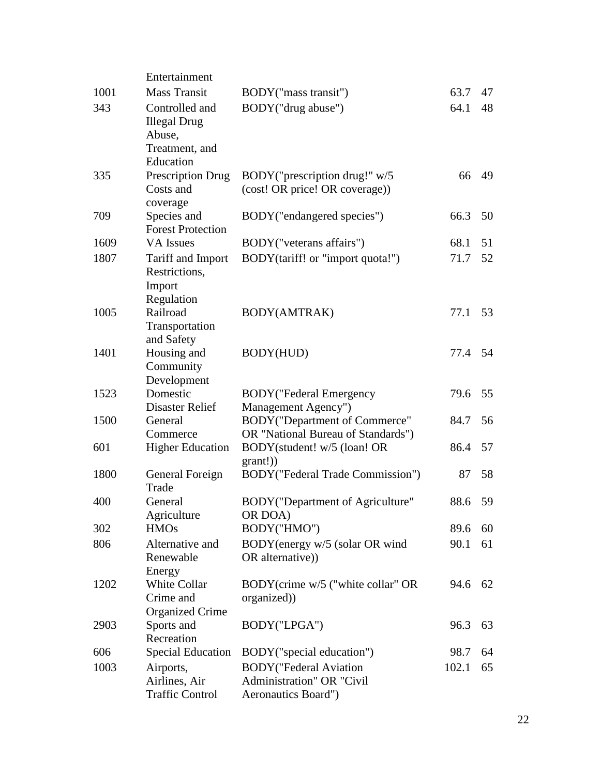|      | Entertainment                                                                  |                                                                                    |         |    |
|------|--------------------------------------------------------------------------------|------------------------------------------------------------------------------------|---------|----|
| 1001 | <b>Mass Transit</b>                                                            | BODY("mass transit")                                                               | 63.7    | 47 |
| 343  | Controlled and<br><b>Illegal Drug</b><br>Abuse,<br>Treatment, and<br>Education | BODY("drug abuse")                                                                 | 64.1    | 48 |
| 335  | Prescription Drug<br>Costs and<br>coverage                                     | BODY("prescription drug!" w/5<br>(cost! OR price! OR coverage))                    | 66      | 49 |
| 709  | Species and<br><b>Forest Protection</b>                                        | BODY ("endangered species")                                                        | 66.3    | 50 |
| 1609 | <b>VA</b> Issues                                                               | BODY ("veterans affairs")                                                          | 68.1    | 51 |
| 1807 | Tariff and Import<br>Restrictions,<br>Import<br>Regulation                     | BODY(tariff! or "import quota!")                                                   | 71.7    | 52 |
| 1005 | Railroad<br>Transportation<br>and Safety                                       | BODY(AMTRAK)                                                                       | 77.1    | 53 |
| 1401 | Housing and<br>Community<br>Development                                        | BODY(HUD)                                                                          | 77.4    | 54 |
| 1523 | Domestic<br>Disaster Relief                                                    | <b>BODY</b> ("Federal Emergency<br>Management Agency")                             | 79.6    | 55 |
| 1500 | General<br>Commerce                                                            | BODY("Department of Commerce"<br>OR "National Bureau of Standards")                | 84.7    | 56 |
| 601  | <b>Higher Education</b>                                                        | BODY(student! w/5 (loan! OR<br>grant!))                                            | 86.4    | 57 |
| 1800 | General Foreign<br>Trade                                                       | BODY("Federal Trade Commission")                                                   | 87      | 58 |
| 400  | General<br>Agriculture                                                         | BODY("Department of Agriculture"<br>OR DOA)                                        | 88.6 59 |    |
| 302  | <b>HMOs</b>                                                                    | BODY("HMO")                                                                        | 89.6    | 60 |
| 806  | Alternative and<br>Renewable<br>Energy                                         | BODY(energy w/5 (solar OR wind<br>OR alternative))                                 | 90.1    | 61 |
| 1202 | White Collar<br>Crime and<br><b>Organized Crime</b>                            | BODY(crime w/5 ("white collar" OR<br>organized)                                    | 94.6    | 62 |
| 2903 | Sports and<br>Recreation                                                       | BODY("LPGA")                                                                       | 96.3    | 63 |
| 606  | <b>Special Education</b>                                                       | BODY("special education")                                                          | 98.7    | 64 |
| 1003 | Airports,<br>Airlines, Air<br><b>Traffic Control</b>                           | <b>BODY</b> ("Federal Aviation<br>Administration" OR "Civil<br>Aeronautics Board") | 102.1   | 65 |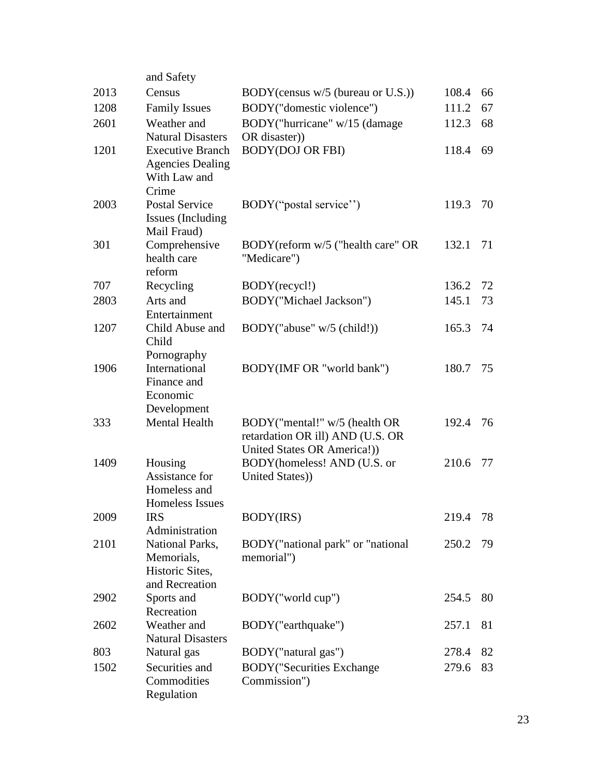|      | and Safety                                                                  |                                                                                                  |       |    |
|------|-----------------------------------------------------------------------------|--------------------------------------------------------------------------------------------------|-------|----|
| 2013 | Census                                                                      | BODY (census w/5 (bureau or U.S.))                                                               | 108.4 | 66 |
| 1208 | <b>Family Issues</b>                                                        | BODY("domestic violence")                                                                        | 111.2 | 67 |
| 2601 | Weather and<br><b>Natural Disasters</b>                                     | BODY("hurricane" w/15 (damage<br>OR disaster))                                                   | 112.3 | 68 |
| 1201 | <b>Executive Branch</b><br><b>Agencies Dealing</b><br>With Law and<br>Crime | <b>BODY(DOJ OR FBI)</b>                                                                          | 118.4 | 69 |
| 2003 | <b>Postal Service</b><br>Issues (Including<br>Mail Fraud)                   | BODY("postal service")                                                                           | 119.3 | 70 |
| 301  | Comprehensive<br>health care<br>reform                                      | BODY(reform w/5 ("health care" OR<br>"Medicare")                                                 | 132.1 | 71 |
| 707  | Recycling                                                                   | BODY(recycl!)                                                                                    | 136.2 | 72 |
| 2803 | Arts and<br>Entertainment                                                   | BODY("Michael Jackson")                                                                          | 145.1 | 73 |
| 1207 | Child Abuse and<br>Child<br>Pornography                                     | BODY("abuse" w/5 (child!))                                                                       | 165.3 | 74 |
| 1906 | International<br>Finance and<br>Economic<br>Development                     | BODY(IMF OR "world bank")                                                                        | 180.7 | 75 |
| 333  | <b>Mental Health</b>                                                        | BODY("mental!" w/5 (health OR<br>retardation OR ill) AND (U.S. OR<br>United States OR America!)) | 192.4 | 76 |
| 1409 | Housing<br>Assistance for<br>Homeless and<br>Homeless Issues                | BODY(homeless! AND (U.S. or<br>United States))                                                   | 210.6 | 77 |
| 2009 | <b>IRS</b><br>Administration                                                | BODY(IRS)                                                                                        | 219.4 | 78 |
| 2101 | National Parks,<br>Memorials,<br>Historic Sites,<br>and Recreation          | BODY ("national park" or "national<br>memorial")                                                 | 250.2 | 79 |
| 2902 | Sports and<br>Recreation                                                    | BODY("world cup")                                                                                | 254.5 | 80 |
| 2602 | Weather and<br><b>Natural Disasters</b>                                     | BODY("earthquake")                                                                               | 257.1 | 81 |
| 803  | Natural gas                                                                 | BODY("natural gas")                                                                              | 278.4 | 82 |
| 1502 | Securities and<br>Commodities<br>Regulation                                 | <b>BODY</b> ("Securities Exchange<br>Commission")                                                | 279.6 | 83 |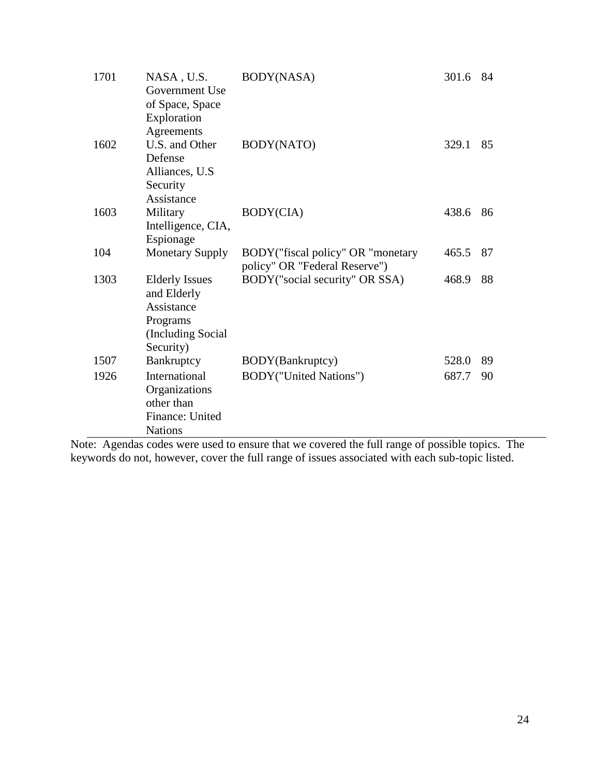| 1701 | NASA, U.S.<br>Government Use<br>of Space, Space<br>Exploration                                    | BODY(NASA)                                                         | 301.6 | 84 |
|------|---------------------------------------------------------------------------------------------------|--------------------------------------------------------------------|-------|----|
| 1602 | Agreements<br>U.S. and Other<br>Defense<br>Alliances, U.S.<br>Security                            | BODY(NATO)                                                         | 329.1 | 85 |
| 1603 | Assistance<br>Military<br>Intelligence, CIA,<br>Espionage                                         | BODY(CIA)                                                          | 438.6 | 86 |
| 104  | <b>Monetary Supply</b>                                                                            | BODY("fiscal policy" OR "monetary<br>policy" OR "Federal Reserve") | 465.5 | 87 |
| 1303 | <b>Elderly Issues</b><br>and Elderly<br>Assistance<br>Programs<br>(Including Social)<br>Security) | BODY ("social security" OR SSA)                                    | 468.9 | 88 |
| 1507 | Bankruptcy                                                                                        | BODY(Bankruptcy)                                                   | 528.0 | 89 |
| 1926 | International<br>Organizations<br>other than<br>Finance: United<br><b>Nations</b>                 | <b>BODY</b> ("United Nations")                                     | 687.7 | 90 |

Note: Agendas codes were used to ensure that we covered the full range of possible topics. The keywords do not, however, cover the full range of issues associated with each sub-topic listed.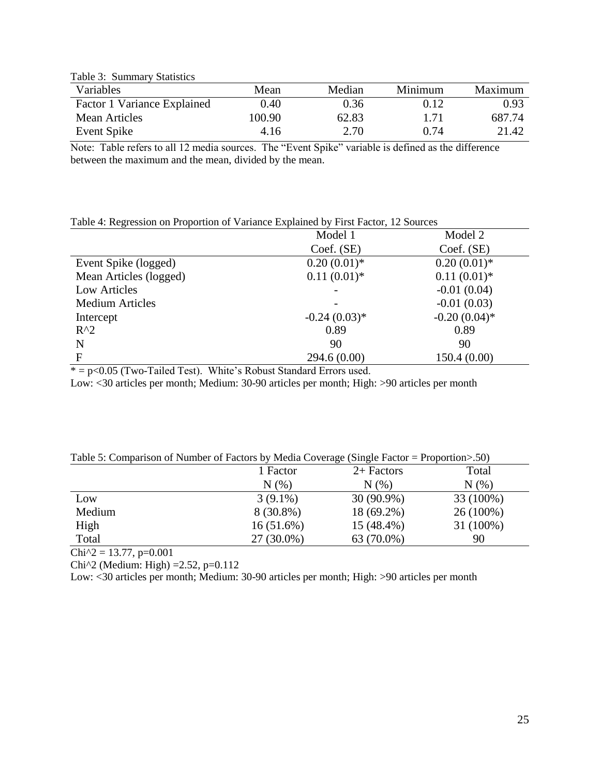Table 3: Summary Statistics

| Maximum |
|---------|
| 0.93    |
| 687.74  |
| 21.42   |
|         |

Note: Table refers to all 12 media sources. The "Event Spike" variable is defined as the difference between the maximum and the mean, divided by the mean.

#### Table 4: Regression on Proportion of Variance Explained by First Factor, 12 Sources

|                        | Model 1        | Model 2         |
|------------------------|----------------|-----------------|
|                        | Coef. (SE)     | Coef. (SE)      |
| Event Spike (logged)   | $0.20(0.01)*$  | $0.20(0.01)$ *  |
| Mean Articles (logged) | $0.11(0.01)*$  | $0.11(0.01)$ *  |
| Low Articles           |                | $-0.01(0.04)$   |
| <b>Medium Articles</b> |                | $-0.01(0.03)$   |
| Intercept              | $-0.24(0.03)*$ | $-0.20(0.04)$ * |
| $R^2$                  | 0.89           | 0.89            |
| N                      | 90             | 90              |
| F                      | 294.6(0.00)    | 150.4(0.00)     |

 $* = p < 0.05$  (Two-Tailed Test). White's Robust Standard Errors used.

Low: <30 articles per month; Medium: 30-90 articles per month; High: >90 articles per month

| Table 5: Comparison of Number of Factors by Media Coverage (Single Factor = Proportion>.50) |  |  |
|---------------------------------------------------------------------------------------------|--|--|
|                                                                                             |  |  |

|        | 1 Factor     | $2+$ Factors | Total       |
|--------|--------------|--------------|-------------|
|        | N(%          | N(% )        | N(%         |
| Low    | $3(9.1\%)$   | 30 (90.9%)   | 33 (100%)   |
| Medium | $8(30.8\%)$  | 18 (69.2%)   | $26(100\%)$ |
| High   | $16(51.6\%)$ | 15 (48.4%)   | 31 (100%)   |
| Total  | 27 (30.0%)   | 63 (70.0%)   | 90          |

 $Chi^2 = 13.77$ , p=0.001

Chi<sup> $\lambda$ </sup>2 (Medium: High) =2.52, p=0.112

Low: <30 articles per month; Medium: 30-90 articles per month; High: >90 articles per month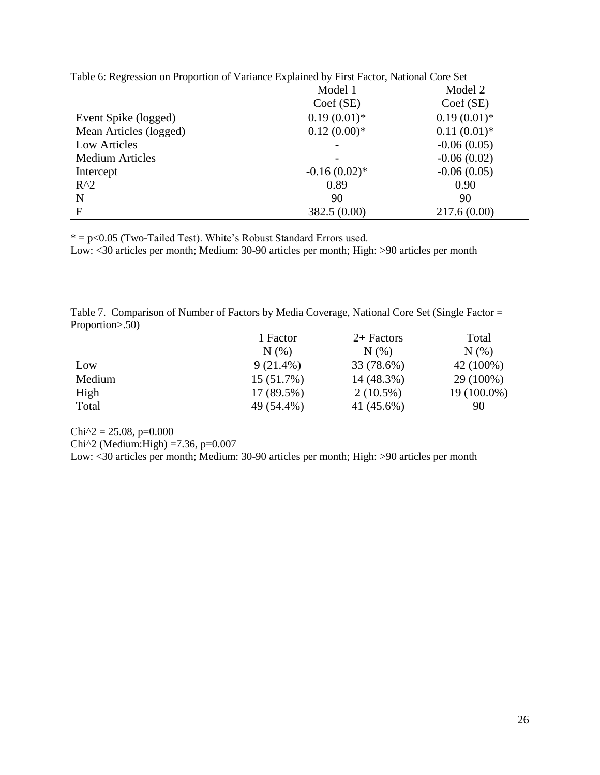|                        | Table 0. Regression on Froportion of Variance Explained by First Factor, Pathonal Core Bet<br>Model 1<br>Model 2 |                |  |
|------------------------|------------------------------------------------------------------------------------------------------------------|----------------|--|
|                        | $Coef$ (SE)                                                                                                      | Coef(SE)       |  |
| Event Spike (logged)   | $0.19(0.01)*$                                                                                                    | $0.19(0.01)*$  |  |
| Mean Articles (logged) | $0.12(0.00)*$                                                                                                    | $0.11(0.01)$ * |  |
| Low Articles           |                                                                                                                  | $-0.06(0.05)$  |  |
| <b>Medium Articles</b> |                                                                                                                  | $-0.06(0.02)$  |  |
| Intercept              | $-0.16(0.02)$ *                                                                                                  | $-0.06(0.05)$  |  |
| $R^2$                  | 0.89                                                                                                             | 0.90           |  |
| N                      | 90                                                                                                               | 90             |  |
| F                      | 382.5 (0.00)                                                                                                     | 217.6(0.00)    |  |

Table 6: Regression on Proportion of Variance Explained by First Factor, National Core Set

 $* = p < 0.05$  (Two-Tailed Test). White's Robust Standard Errors used.

Low: <30 articles per month; Medium: 30-90 articles per month; High: >90 articles per month

|                   | Table 7. Comparison of Number of Factors by Media Coverage, National Core Set (Single Factor = |  |  |  |  |
|-------------------|------------------------------------------------------------------------------------------------|--|--|--|--|
| Proportion > .50) |                                                                                                |  |  |  |  |

|        | 1 Factor    | $2+$ Factors | Total       |
|--------|-------------|--------------|-------------|
|        | $N(\%)$     | N(%          | $N(\%)$     |
| Low    | $9(21.4\%)$ | 33 (78.6%)   | 42 (100%)   |
| Medium | 15 (51.7%)  | 14 (48.3%)   | 29 (100%)   |
| High   | 17 (89.5%)  | $2(10.5\%)$  | 19 (100.0%) |
| Total  | 49 (54.4%)  | 41 (45.6%)   | 90          |

 $Chi^2 = 25.08$ , p=0.000

Chi^2 (Medium:High) =7.36, p=0.007

Low: <30 articles per month; Medium: 30-90 articles per month; High: >90 articles per month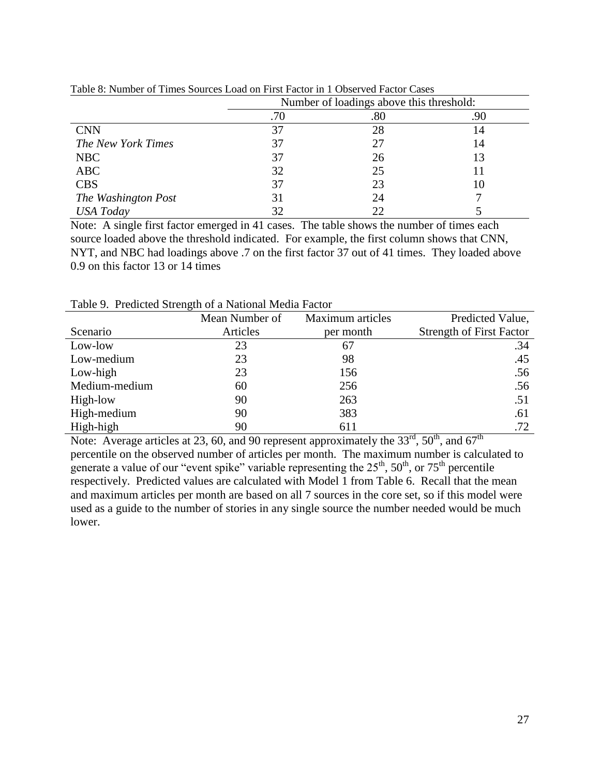|                     | Number of loadings above this threshold: |     |     |  |
|---------------------|------------------------------------------|-----|-----|--|
|                     | .70                                      | .80 | .90 |  |
| <b>CNN</b>          | 37                                       | 28  | 14  |  |
| The New York Times  | 37                                       | 27  | 14  |  |
| <b>NBC</b>          | 37                                       | 26  | 13  |  |
| ABC                 | 32                                       | 25  |     |  |
| <b>CBS</b>          | 37                                       | 23  | 10  |  |
| The Washington Post | 31                                       | 24  |     |  |
| <b>USA Today</b>    | 32                                       | 22  |     |  |

Table 8: Number of Times Sources Load on First Factor in 1 Observed Factor Cases

Note: A single first factor emerged in 41 cases. The table shows the number of times each source loaded above the threshold indicated. For example, the first column shows that CNN, NYT, and NBC had loadings above .7 on the first factor 37 out of 41 times. They loaded above 0.9 on this factor 13 or 14 times

|               | Mean Number of | <b>Maximum</b> articles | Predicted Value,                |
|---------------|----------------|-------------------------|---------------------------------|
| Scenario      | Articles       | per month               | <b>Strength of First Factor</b> |
| Low-low       | 23             | 67                      | .34                             |
| Low-medium    | 23             | 98                      | .45                             |
| Low-high      | 23             | 156                     | .56                             |
| Medium-medium | 60             | 256                     | .56                             |
| High-low      | 90             | 263                     | .51                             |
| High-medium   | 90             | 383                     | .61                             |
| High-high     | 90             | 611                     | .72                             |

Table 9. Predicted Strength of a National Media Factor

Note: Average articles at 23, 60, and 90 represent approximately the  $33<sup>rd</sup>$ ,  $50<sup>th</sup>$ , and  $67<sup>th</sup>$ percentile on the observed number of articles per month. The maximum number is calculated to generate a value of our "event spike" variable representing the  $25<sup>th</sup>$ ,  $50<sup>th</sup>$ , or  $75<sup>th</sup>$  percentile respectively. Predicted values are calculated with Model 1 from Table 6. Recall that the mean and maximum articles per month are based on all 7 sources in the core set, so if this model were used as a guide to the number of stories in any single source the number needed would be much lower.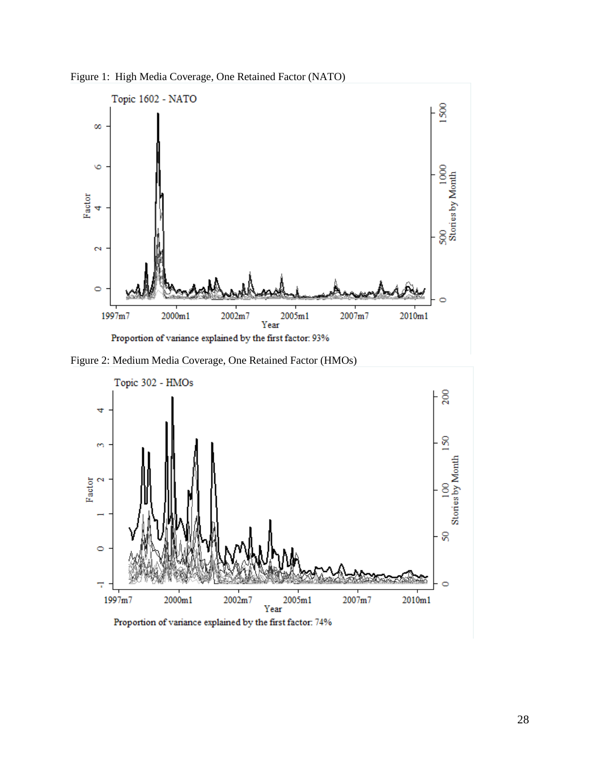Figure 1: High Media Coverage, One Retained Factor (NATO)



Figure 2: Medium Media Coverage, One Retained Factor (HMOs)

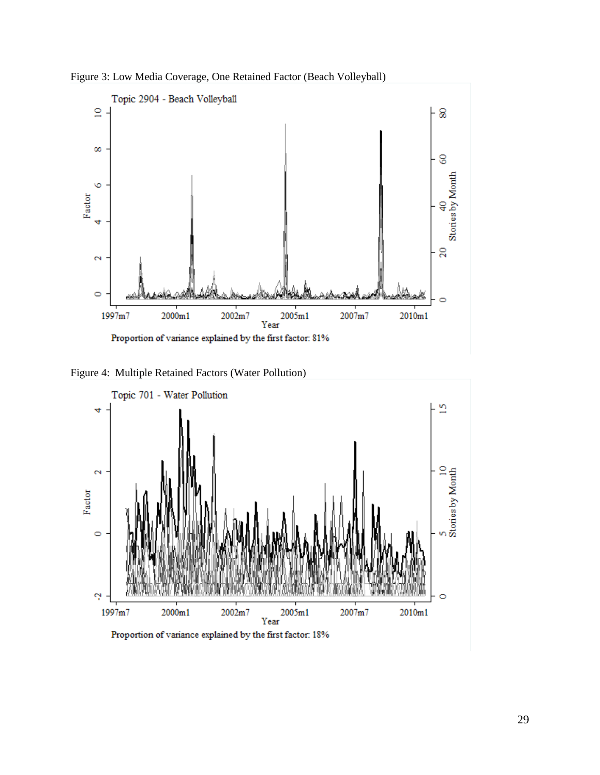



Figure 4: Multiple Retained Factors (Water Pollution)



Proportion of variance explained by the first factor: 18%